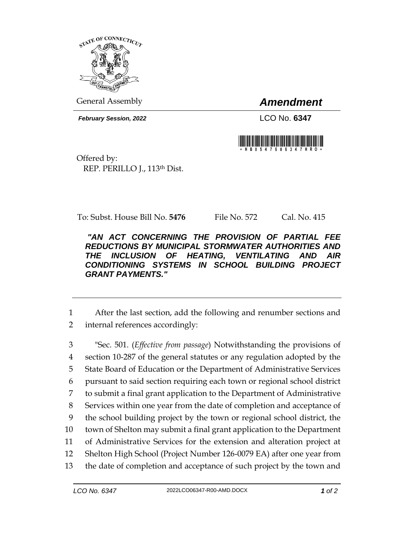

General Assembly *Amendment*

*February Session, 2022* LCO No. 6347



Offered by: REP. PERILLO J., 113th Dist.

To: Subst. House Bill No. **5476** File No. 572 Cal. No. 415

*"AN ACT CONCERNING THE PROVISION OF PARTIAL FEE REDUCTIONS BY MUNICIPAL STORMWATER AUTHORITIES AND THE INCLUSION OF HEATING, VENTILATING AND AIR CONDITIONING SYSTEMS IN SCHOOL BUILDING PROJECT GRANT PAYMENTS."* 

1 After the last section, add the following and renumber sections and 2 internal references accordingly:

 "Sec. 501. (*Effective from passage*) Notwithstanding the provisions of section 10-287 of the general statutes or any regulation adopted by the State Board of Education or the Department of Administrative Services pursuant to said section requiring each town or regional school district to submit a final grant application to the Department of Administrative Services within one year from the date of completion and acceptance of the school building project by the town or regional school district, the town of Shelton may submit a final grant application to the Department of Administrative Services for the extension and alteration project at Shelton High School (Project Number 126-0079 EA) after one year from the date of completion and acceptance of such project by the town and